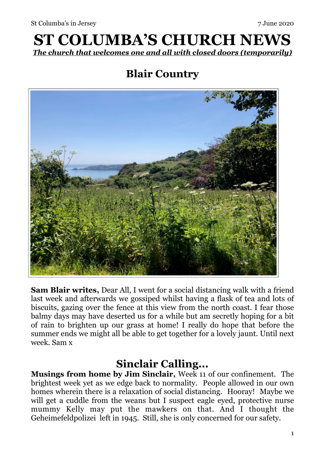# **ST COLUMBA'S CHURCH NEWS**  *The church that welcomes one and all with closed doors (temporarily)*

# **Blair Country**



**Sam Blair writes,** Dear All, I went for a social distancing walk with a friend last week and afterwards we gossiped whilst having a flask of tea and lots of biscuits, gazing over the fence at this view from the north coast. I fear those balmy days may have deserted us for a while but am secretly hoping for a bit of rain to brighten up our grass at home! I really do hope that before the summer ends we might all be able to get together for a lovely jaunt. Until next week. Sam x

### **Sinclair Calling...**

**Musings from home by Jim Sinclair,** Week 11 of our confinement. The brightest week yet as we edge back to normality. People allowed in our own homes wherein there is a relaxation of social distancing. Hooray! Maybe we will get a cuddle from the weans but I suspect eagle eyed, protective nurse mummy Kelly may put the mawkers on that. And I thought the Geheimefeldpolizei left in 1945. Still, she is only concerned for our safety.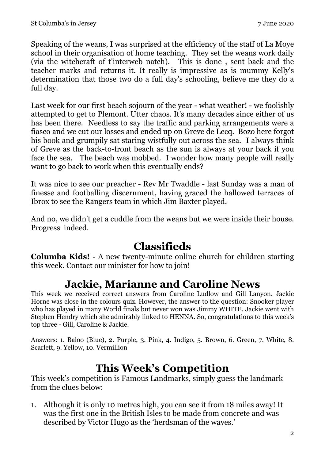Speaking of the weans, I was surprised at the efficiency of the staff of La Moye school in their organisation of home teaching. They set the weans work daily (via the witchcraft of t'interweb natch). This is done , sent back and the teacher marks and returns it. It really is impressive as is mummy Kelly's determination that those two do a full day's schooling, believe me they do a full day.

Last week for our first beach sojourn of the year - what weather! - we foolishly attempted to get to Plemont. Utter chaos. It's many decades since either of us has been there. Needless to say the traffic and parking arrangements were a fiasco and we cut our losses and ended up on Greve de Lecq. Bozo here forgot his book and grumpily sat staring wistfully out across the sea. I always think of Greve as the back-to-front beach as the sun is always at your back if you face the sea. The beach was mobbed. I wonder how many people will really want to go back to work when this eventually ends?

It was nice to see our preacher - Rev Mr Twaddle - last Sunday was a man of finesse and footballing discernment, having graced the hallowed terraces of Ibrox to see the Rangers team in which Jim Baxter played.

And no, we didn't get a cuddle from the weans but we were inside their house. Progress indeed.

## **Classifieds**

**Columba Kids! -** A new twenty-minute online church for children starting this week. Contact our minister for how to join!

### **Jackie, Marianne and Caroline News**

This week we received correct answers from Caroline Ludlow and Gill Lanyon. Jackie Horne was close in the colours quiz. However, the answer to the question: Snooker player who has played in many World finals but never won was Jimmy WHITE. Jackie went with Stephen Hendry which she admirably linked to HENNA. So, congratulations to this week's top three - Gill, Caroline & Jackie.

Answers: 1. Baloo (Blue), 2. Purple, 3. Pink, 4. Indigo, 5. Brown, 6. Green, 7. White, 8. Scarlett, 9. Yellow, 10. Vermillion

#### **This Week's Competition**

This week's competition is Famous Landmarks, simply guess the landmark from the clues below:

1. Although it is only 10 metres high, you can see it from 18 miles away! It was the first one in the British Isles to be made from concrete and was described by Victor Hugo as the 'herdsman of the waves.'